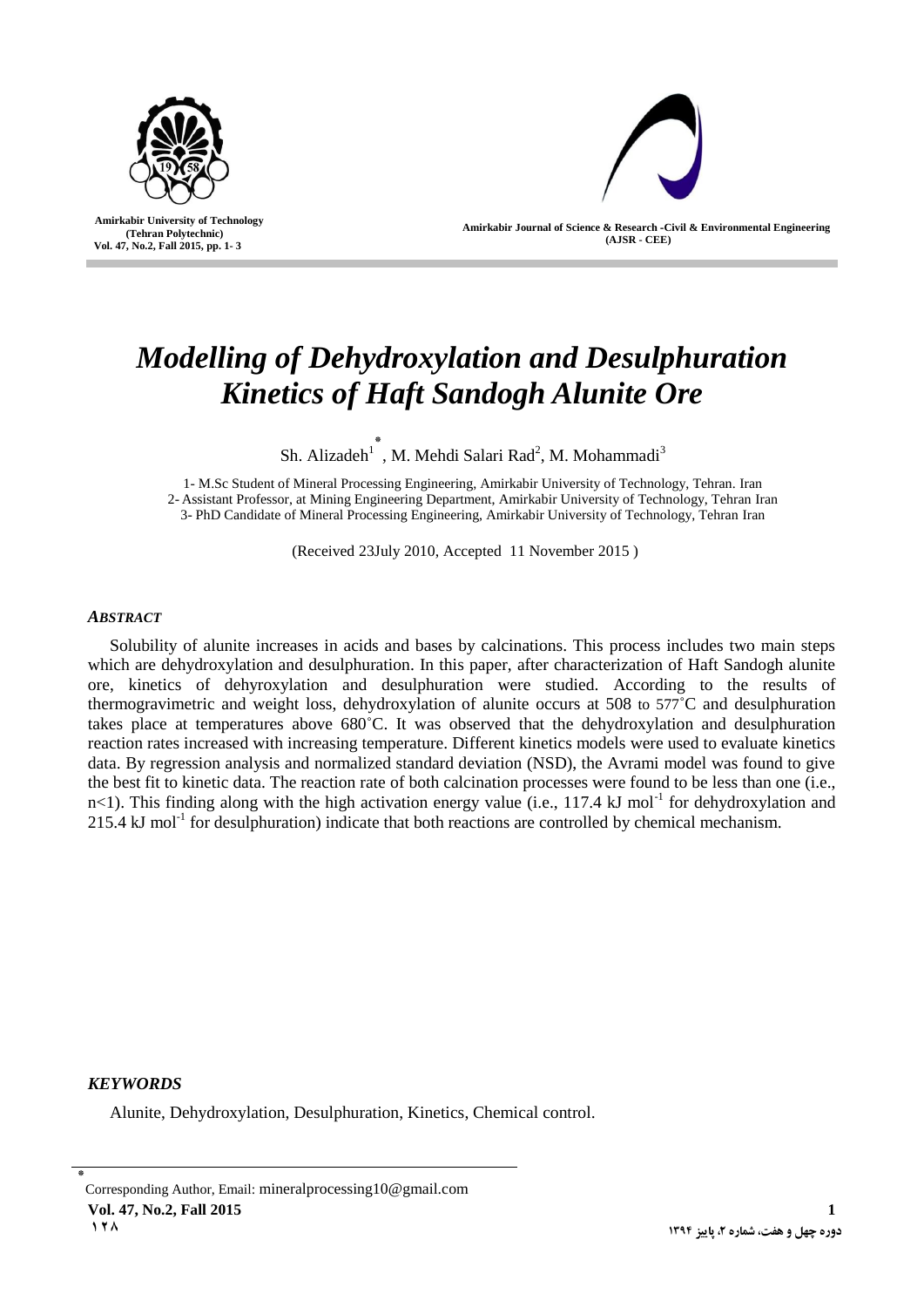

 **Amirkabir University of Technology (Tehran Polytechnic) Vol. 47, No.2, Fall 2015, pp. 1- 3**

I

**Amirkabir Journal of Science & Research -Civil & Environmental Engineering (AJSR - CEE)**

# *Modelling of Dehydroxylation and Desulphuration Kinetics of Haft Sandogh Alunite Ore*

Sh. Alizadeh<sup>1</sup>, M. Mehdi Salari Rad<sup>2</sup>, M. Mohammadi<sup>3</sup>

1- M.Sc Student of Mineral Processing Engineering, Amirkabir University of Technology, Tehran. Iran 2- Assistant Professor, at Mining Engineering Department, Amirkabir University of Technology, Tehran Iran 3- PhD Candidate of Mineral Processing Engineering, Amirkabir University of Technology, Tehran Iran

(Received 23July 2010, Accepted 11 November 2015 )

# *ABSTRACT*

Solubility of alunite increases in acids and bases by calcinations. This process includes two main steps which are dehydroxylation and desulphuration. In this paper, after characterization of Haft Sandogh alunite ore, kinetics of dehyroxylation and desulphuration were studied. According to the results of thermogravimetric and weight loss, dehydroxylation of alunite occurs at 508 to 577˚C and desulphuration takes place at temperatures above 680˚C. It was observed that the dehydroxylation and desulphuration reaction rates increased with increasing temperature. Different kinetics models were used to evaluate kinetics data. By regression analysis and normalized standard deviation (NSD), the Avrami model was found to give the best fit to kinetic data. The reaction rate of both calcination processes were found to be less than one (i.e.,  $n$ <1). This finding along with the high activation energy value (i.e., 117.4 kJ mol<sup>-1</sup> for dehydroxylation and 215.4 kJ mol<sup>-1</sup> for desulphuration) indicate that both reactions are controlled by chemical mechanism.

# *KEYWORDS*

Alunite, Dehydroxylation, Desulphuration, Kinetics, Chemical control.

<sup>٭</sup> Corresponding Author, Email: mineralprocessing10@gmail.com **Vol. 47, No.2, Fall 2015 1 1820 4931 4931 4931 4931 4931 4931 4931 4931 4931 4931 4931 4931 4931 4931 4931 4931 4931 4931 4931 4931 4931 4931 4931 4931 4931 4931 4931 4931 4931 4931 4931**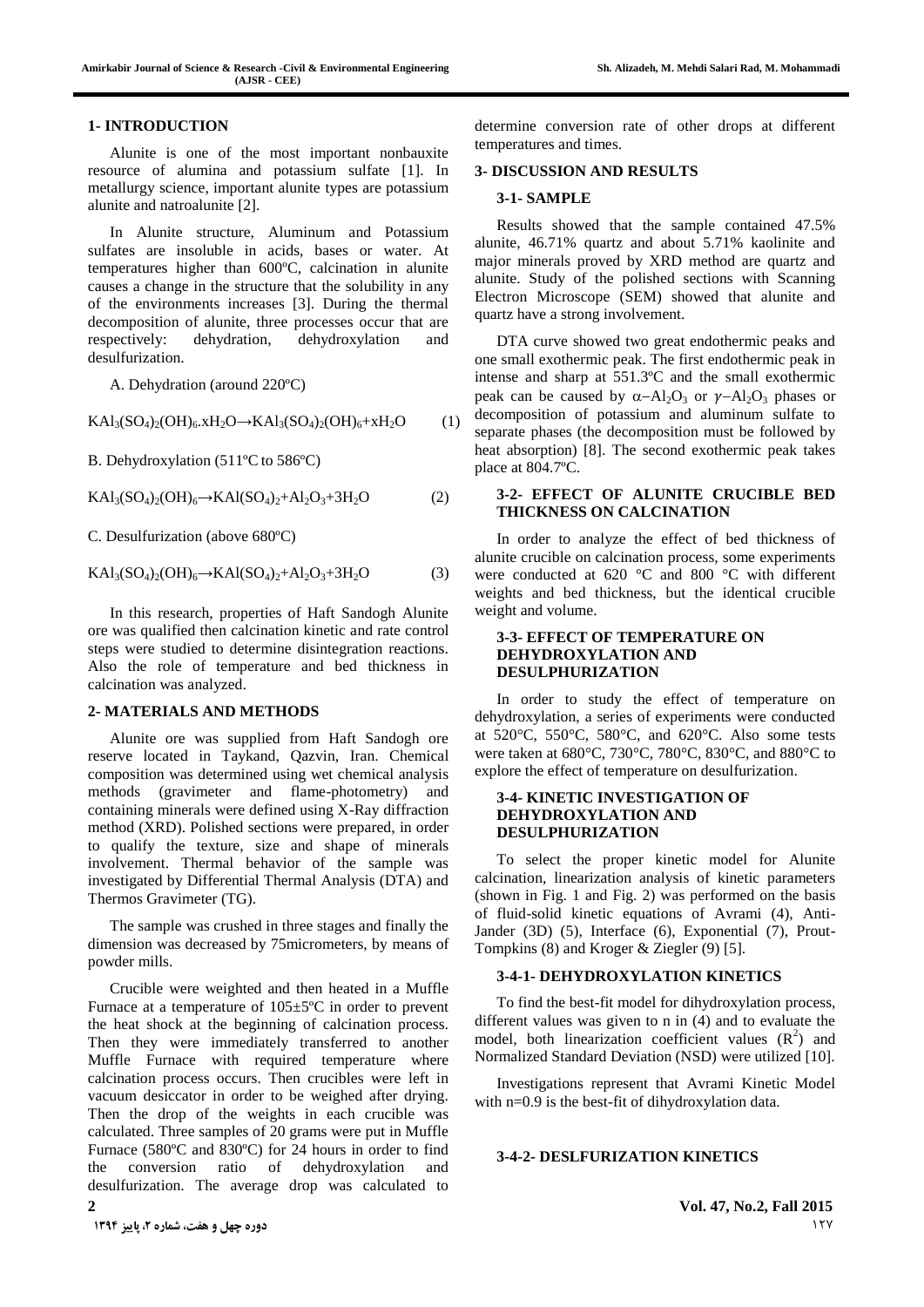#### **1- INTRODUCTION**

Alunite is one of the most important nonbauxite resource of alumina and potassium sulfate [1]. In metallurgy science, important alunite types are potassium alunite and natroalunite [2].

In Alunite structure, Aluminum and Potassium sulfates are insoluble in acids, bases or water. At temperatures higher than 600ºC, calcination in alunite causes a change in the structure that the solubility in any of the environments increases [3]. During the thermal decomposition of alunite, three processes occur that are respectively: dehydration, dehydroxylation and desulfurization.

A. Dehydration (around 220ºC)

 $KAI_3(SO_4)_2(OH)_6. xH_2O \rightarrow KAI_3(SO_4)_2(OH)_6 + xH_2O$  (1)

B. Dehydroxylation (511ºC to 586ºC)

 $KAl<sub>3</sub>(SO<sub>4</sub>)<sub>2</sub>(OH)<sub>6</sub> \rightarrow KAl(SO<sub>4</sub>)<sub>2</sub>+Al<sub>2</sub>O<sub>3</sub>+3H<sub>2</sub>O$  (2)

C. Desulfurization (above 680ºC)

$$
KAl3(SO4)2(OH)6 \to KAl(SO4)2+Al2O3+3H2O
$$
 (3)

In this research, properties of Haft Sandogh Alunite ore was qualified then calcination kinetic and rate control steps were studied to determine disintegration reactions. Also the role of temperature and bed thickness in calcination was analyzed.

#### **2- MATERIALS AND METHODS**

Alunite ore was supplied from Haft Sandogh ore reserve located in Taykand, Qazvin, Iran. Chemical composition was determined using wet chemical analysis methods (gravimeter and flame-photometry) and containing minerals were defined using X-Ray diffraction method (XRD). Polished sections were prepared, in order to qualify the texture, size and shape of minerals involvement. Thermal behavior of the sample was investigated by Differential Thermal Analysis (DTA) and Thermos Gravimeter (TG).

The sample was crushed in three stages and finally the dimension was decreased by 75micrometers, by means of powder mills.

**2 Vol. 47, No.2, Fall 2015** Crucible were weighted and then heated in a Muffle Furnace at a temperature of 105±5ºC in order to prevent the heat shock at the beginning of calcination process. Then they were immediately transferred to another Muffle Furnace with required temperature where calcination process occurs. Then crucibles were left in vacuum desiccator in order to be weighed after drying. Then the drop of the weights in each crucible was calculated. Three samples of 20 grams were put in Muffle Furnace (580ºC and 830ºC) for 24 hours in order to find the conversion ratio of dehydroxylation and desulfurization. The average drop was calculated to

determine conversion rate of other drops at different temperatures and times.

#### **3- DISCUSSION AND RESULTS**

#### **3-1- SAMPLE**

Results showed that the sample contained 47.5% alunite, 46.71% quartz and about 5.71% kaolinite and major minerals proved by XRD method are quartz and alunite. Study of the polished sections with Scanning Electron Microscope (SEM) showed that alunite and quartz have a strong involvement.

DTA curve showed two great endothermic peaks and one small exothermic peak. The first endothermic peak in intense and sharp at 551.3ºC and the small exothermic peak can be caused by  $\alpha - Al_2O_3$  or  $\gamma - Al_2O_3$  phases or decomposition of potassium and aluminum sulfate to separate phases (the decomposition must be followed by heat absorption) [8]. The second exothermic peak takes place at 804.7ºC.

### **3-2- EFFECT OF ALUNITE CRUCIBLE BED THICKNESS ON CALCINATION**

In order to analyze the effect of bed thickness of alunite crucible on calcination process, some experiments were conducted at 620 °C and 800 °C with different weights and bed thickness, but the identical crucible weight and volume.

## **3-3- EFFECT OF TEMPERATURE ON DEHYDROXYLATION AND DESULPHURIZATION**

In order to study the effect of temperature on dehydroxylation, a series of experiments were conducted at 520°C, 550°C, 580°C, and 620°C. Also some tests were taken at 680°C, 730°C, 780°C, 830°C, and 880°C to explore the effect of temperature on desulfurization.

#### **3-4- KINETIC INVESTIGATION OF DEHYDROXYLATION AND DESULPHURIZATION**

To select the proper kinetic model for Alunite calcination, linearization analysis of kinetic parameters (shown in Fig. 1 and Fig. 2) was performed on the basis of fluid-solid kinetic equations of Avrami (4), Anti-Jander (3D) (5), Interface (6), Exponential (7), Prout-Tompkins (8) and Kroger & Ziegler (9) [5].

#### **3-4-1- DEHYDROXYLATION KINETICS**

To find the best-fit model for dihydroxylation process, different values was given to n in (4) and to evaluate the model, both linearization coefficient values  $(R^2)$  and Normalized Standard Deviation (NSD) were utilized [10].

Investigations represent that Avrami Kinetic Model with n=0.9 is the best-fit of dihydroxylation data.

#### **3-4-2- DESLFURIZATION KINETICS**